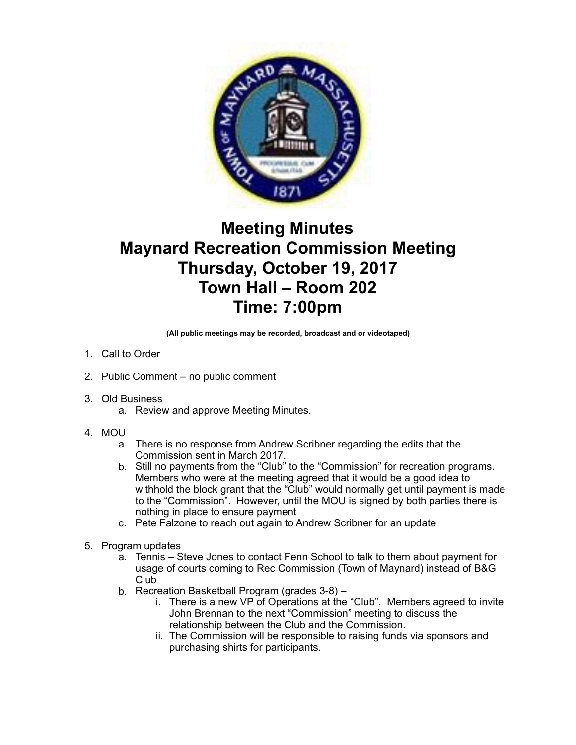

## **Meeting Minutes Maynard Recreation Commission Meeting Thursday, October 19, 2017 Town Hall – Room 202 Time: 7:00pm**

**(All public meetings may be recorded, broadcast and or videotaped)** 

- 1. Call to Order
- 2. Public Comment no public comment
- 3. Old Business
	- a. Review and approve Meeting Minutes.
- 4. MOU
	- a. There is no response from Andrew Scribner regarding the edits that the Commission sent in March 2017.
	- b. Still no payments from the "Club" to the "Commission" for recreation programs. Members who were at the meeting agreed that it would be a good idea to withhold the block grant that the "Club" would normally get until payment is made to the "Commission". However, until the MOU is signed by both parties there is nothing in place to ensure payment
	- c. Pete Falzone to reach out again to Andrew Scribner for an update
- 5. Program updates
	- a. Tennis Steve Jones to contact Fenn School to talk to them about payment for usage of courts coming to Rec Commission (Town of Maynard) instead of B&G Club
	- b. Recreation Basketball Program (grades 3-8)
		- i. There is a new VP of Operations at the "Club". Members agreed to invite John Brennan to the next "Commission" meeting to discuss the relationship between the Club and the Commission.
		- ii. The Commission will be responsible to raising funds via sponsors and purchasing shirts for participants.